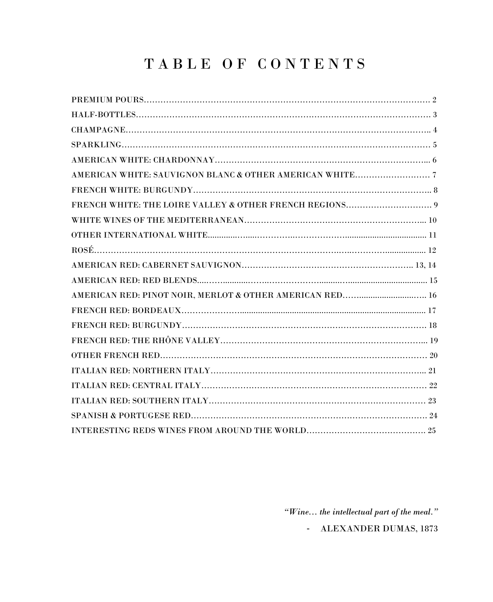# TABLE OF CONTENTS

| AMERICAN RED: PINOT NOIR, MERLOT & OTHER AMERICAN RED 16 |  |
|----------------------------------------------------------|--|
|                                                          |  |
|                                                          |  |
|                                                          |  |
|                                                          |  |
|                                                          |  |
|                                                          |  |
|                                                          |  |
|                                                          |  |
|                                                          |  |

*"Wine... the intellectual part of the meal."*

- ALEXANDER DUMAS, 1873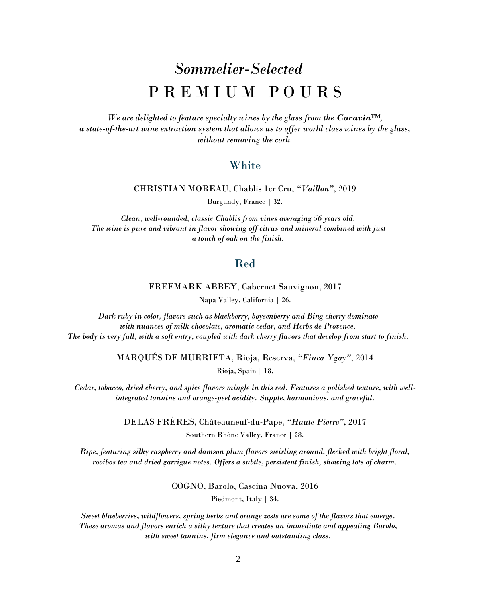# *Sommelier-Selected* P R E M I U M P O U R S

*We are delighted to feature specialty wines by the glass from the Coravin<sup>TM</sup>, a state-of-the-art wine extraction system that allows us to offer world class wines by the glass, without removing the cork.*

#### **White**

CHRISTIAN MOREAU, Chablis 1er Cru, *"Vaillon"*, 2019

Burgundy, France | 32.

*Clean, well-rounded, classic Chablis from vines averaging 56 years old. The wine is pure and vibrant in flavor showing off citrus and mineral combined with just a touch of oak on the finish.*

#### Red

FREEMARK ABBEY, Cabernet Sauvignon, 2017

Napa Valley, California | 26.

*Dark ruby in color, flavors such as blackberry, boysenberry and Bing cherry dominate with nuances of milk chocolate, aromatic cedar, and Herbs de Provence. The body is very full, with a soft entry, coupled with dark cherry flavors that develop from start to finish.* 

> MARQUÉS DE MURRIETA, Rioja, Reserva, *"Finca Ygay"*, 2014 Rioja, Spain | 18.

*Cedar, tobacco, dried cherry, and spice flavors mingle in this red. Features a polished texture, with wellintegrated tannins and orange-peel acidity. Supple, harmonious, and graceful.*

> DELAS FRÈRES, Châteauneuf-du-Pape, *"Haute Pierre"*, 2017 Southern Rhône Valley, France | 28.

*Ripe, featuring silky raspberry and damson plum flavors swirling around, flecked with bright floral, rooibos tea and dried garrigue notes. Offers a subtle, persistent finish, showing lots of charm.*

COGNO, Barolo, Cascina Nuova, 2016

Piedmont, Italy | 34.

*Sweet blueberries, wildflowers, spring herbs and orange zests are some of the flavors that emerge. These aromas and flavors enrich a silky texture that creates an immediate and appealing Barolo, with sweet tannins, firm elegance and outstanding class.*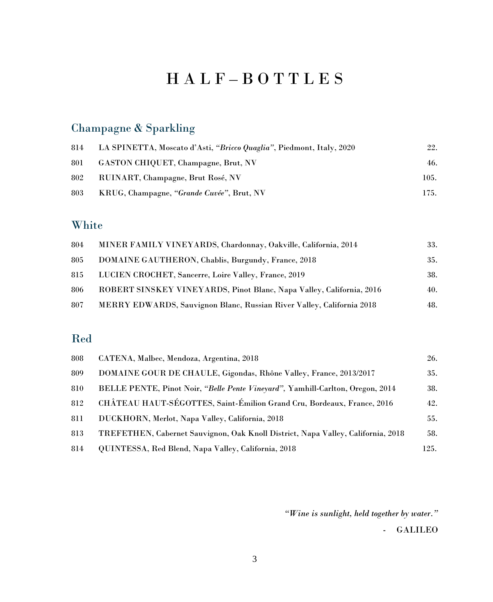# H A L F – B O T T L E S

### Champagne & Sparkling

| 814 | LA SPINETTA, Moscato d'Asti, "Bricco Quaglia", Piedmont, Italy, 2020 | 22.  |
|-----|----------------------------------------------------------------------|------|
| 801 | GASTON CHIQUET, Champagne, Brut, NV                                  | 46.  |
| 802 | RUINART, Champagne, Brut Rosé, NV                                    | 105. |
| 803 | KRUG, Champagne, "Grande Cuvée", Brut, NV                            | 175. |

#### White

| 804 | MINER FAMILY VINEYARDS, Chardonnay, Oakville, California, 2014        | 33. |
|-----|-----------------------------------------------------------------------|-----|
| 805 | DOMAINE GAUTHERON, Chablis, Burgundy, France, 2018                    | 35. |
| 815 | LUCIEN CROCHET, Sancerre, Loire Valley, France, 2019                  | 38. |
| 806 | ROBERT SINSKEY VINEYARDS, Pinot Blanc, Napa Valley, California, 2016  | 40. |
| 807 | MERRY EDWARDS, Sauvignon Blanc, Russian River Valley, California 2018 | 48. |

#### Red

| 808 | CATENA, Malbec, Mendoza, Argentina, 2018                                         | 26.  |
|-----|----------------------------------------------------------------------------------|------|
| 809 | DOMAINE GOUR DE CHAULE, Gigondas, Rhône Valley, France, 2013/2017                | 35.  |
| 810 | BELLE PENTE, Pinot Noir, "Belle Pente Vineyard", Yamhill-Carlton, Oregon, 2014   | 38.  |
| 812 | CHÂTEAU HAUT-SÉGOTTES, Saint-Émilion Grand Cru, Bordeaux, France, 2016           | 42.  |
| 811 | DUCKHORN, Merlot, Napa Valley, California, 2018                                  | 55.  |
| 813 | TREFETHEN, Cabernet Sauvignon, Oak Knoll District, Napa Valley, California, 2018 | 58.  |
| 814 | QUINTESSA, Red Blend, Napa Valley, California, 2018                              | 125. |

*"Wine is sunlight, held together by water."*

- GALILEO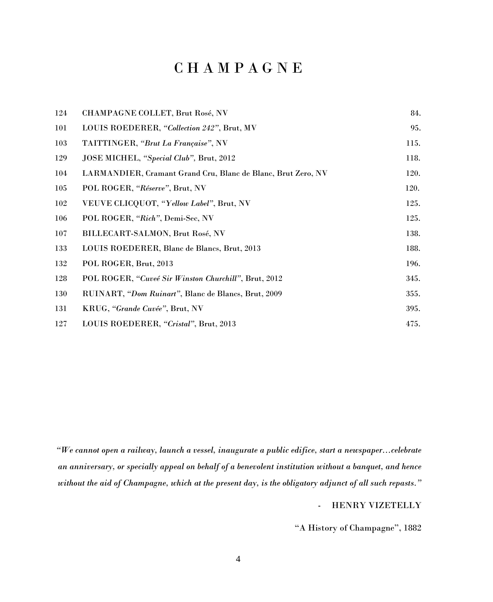### C H A M P A G N E

| 124 | CHAMPAGNE COLLET, Brut Rosé, NV                              | 84.  |
|-----|--------------------------------------------------------------|------|
| 101 | LOUIS ROEDERER, "Collection 242", Brut, MV                   | 95.  |
| 103 | TAITTINGER, "Brut La Française", NV                          | 115. |
| 129 | JOSE MICHEL, "Special Club", Brut, 2012                      | 118. |
| 104 | LARMANDIER, Cramant Grand Cru, Blanc de Blanc, Brut Zero, NV | 120. |
| 105 | POL ROGER, "Réserve", Brut, NV                               | 120. |
| 102 | VEUVE CLICQUOT, "Yellow Label", Brut, NV                     | 125. |
| 106 | POL ROGER, "Rich", Demi-Sec, NV                              | 125. |
| 107 | BILLECART-SALMON, Brut Rosé, NV                              | 138. |
| 133 | LOUIS ROEDERER, Blanc de Blancs, Brut, 2013                  | 188. |
| 132 | POL ROGER, Brut, 2013                                        | 196. |
| 128 | POL ROGER, "Cuveé Sir Winston Churchill", Brut, 2012         | 345. |
| 130 | RUINART, "Dom Ruinart", Blanc de Blancs, Brut, 2009          | 355. |
| 131 | KRUG, "Grande Cuvée", Brut, NV                               | 395. |
| 127 | LOUIS ROEDERER, "Cristal", Brut, 2013                        | 475. |

*"We cannot open a railway, launch a vessel, inaugurate a public edifice, start a newspaper...celebrate an anniversary, or specially appeal on behalf of a benevolent institution without a banquet, and hence without the aid of Champagne, which at the present day, is the obligatory adjunct of all such repasts."*

- HENRY VIZETELLY

"A History of Champagne", 1882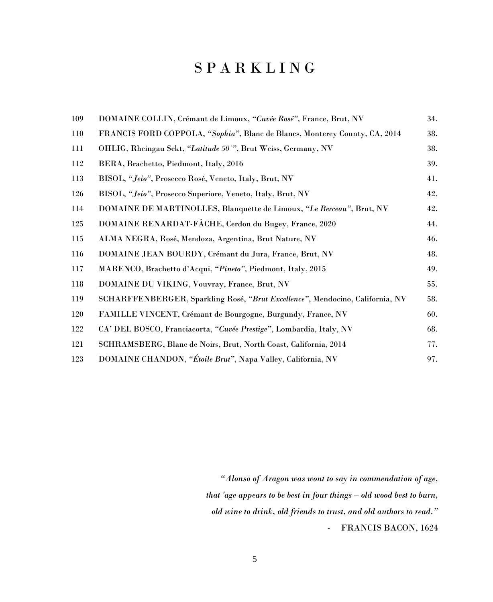## S P A R K L I N G

| 109 | DOMAINE COLLIN, Crémant de Limoux, "Cuvée Rosé", France, Brut, NV             | 34. |
|-----|-------------------------------------------------------------------------------|-----|
| 110 | FRANCIS FORD COPPOLA, "Sophia", Blanc de Blancs, Monterey County, CA, 2014    | 38. |
| 111 | OHLIG, Rheingau Sekt, "Latitude 50°", Brut Weiss, Germany, NV                 | 38. |
| 112 | BERA, Brachetto, Piedmont, Italy, 2016                                        | 39. |
| 113 | BISOL, "Jeio", Prosecco Rosé, Veneto, Italy, Brut, NV                         | 41. |
| 126 | BISOL, "Jeio", Prosecco Superiore, Veneto, Italy, Brut, NV                    | 42. |
| 114 | DOMAINE DE MARTINOLLES, Blanquette de Limoux, "Le Berceau", Brut, NV          | 42. |
| 125 | DOMAINE RENARDAT-FÂCHE, Cerdon du Bugey, France, 2020                         | 44. |
| 115 | ALMA NEGRA, Rosé, Mendoza, Argentina, Brut Nature, NV                         | 46. |
| 116 | DOMAINE JEAN BOURDY, Crémant du Jura, France, Brut, NV                        | 48. |
| 117 | MARENCO, Brachetto d'Acqui, "Pineto", Piedmont, Italy, 2015                   | 49. |
| 118 | DOMAINE DU VIKING, Vouvray, France, Brut, NV                                  | 55. |
| 119 | SCHARFFENBERGER, Sparkling Rosé, "Brut Excellence", Mendocino, California, NV | 58. |
| 120 | FAMILLE VINCENT, Crémant de Bourgogne, Burgundy, France, NV                   | 60. |
| 122 | CA' DEL BOSCO, Franciacorta, "Cuvée Prestige", Lombardia, Italy, NV           | 68. |
| 121 | SCHRAMSBERG, Blanc de Noirs, Brut, North Coast, California, 2014              | 77. |
| 123 | DOMAINE CHANDON, "Étoile Brut", Napa Valley, California, NV                   | 97. |

*"Alonso of Aragon was wont to say in commendation of age, that 'age appears to be best in four things – old wood best to burn, old wine to drink, old friends to trust, and old authors to read."* - FRANCIS BACON, 1624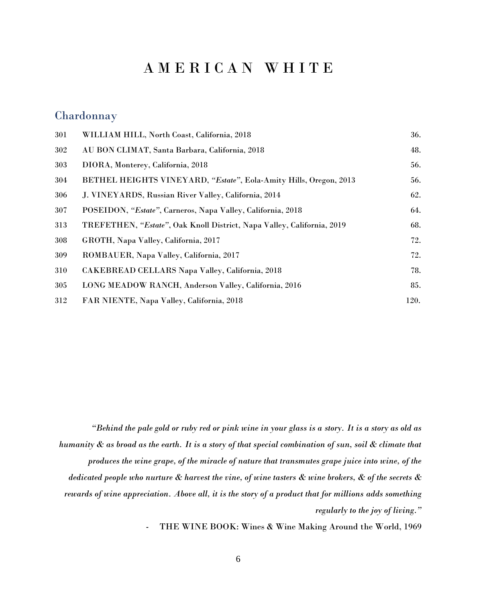### A M E R I C A N W H I T E

#### Chardonnay

| 301 | WILLIAM HILL, North Coast, California, 2018                            | 36.  |
|-----|------------------------------------------------------------------------|------|
| 302 | AU BON CLIMAT, Santa Barbara, California, 2018                         | 48.  |
| 303 | DIORA, Monterey, California, 2018                                      | 56.  |
| 304 | BETHEL HEIGHTS VINEYARD, "Estate", Eola-Amity Hills, Oregon, 2013      | 56.  |
| 306 | J. VINEYARDS, Russian River Valley, California, 2014                   | 62.  |
| 307 | POSEIDON, "Estate", Carneros, Napa Valley, California, 2018            | 64.  |
| 313 | TREFETHEN, "Estate", Oak Knoll District, Napa Valley, California, 2019 | 68.  |
| 308 | GROTH, Napa Valley, California, 2017                                   | 72.  |
| 309 | ROMBAUER, Napa Valley, California, 2017                                | 72.  |
| 310 | CAKEBREAD CELLARS Napa Valley, California, 2018                        | 78.  |
| 305 | LONG MEADOW RANCH, Anderson Valley, California, 2016                   | 85.  |
| 312 | FAR NIENTE, Napa Valley, California, 2018                              | 120. |
|     |                                                                        |      |

*"Behind the pale gold or ruby red or pink wine in your glass is a story. It is a story as old as humanity & as broad as the earth. It is a story of that special combination of sun, soil & climate that produces the wine grape, of the miracle of nature that transmutes grape juice into wine, of the dedicated people who nurture & harvest the vine, of wine tasters & wine brokers, & of the secrets & rewards of wine appreciation. Above all, it is the story of a product that for millions adds something regularly to the joy of living."*

- THE WINE BOOK: Wines & Wine Making Around the World, 1969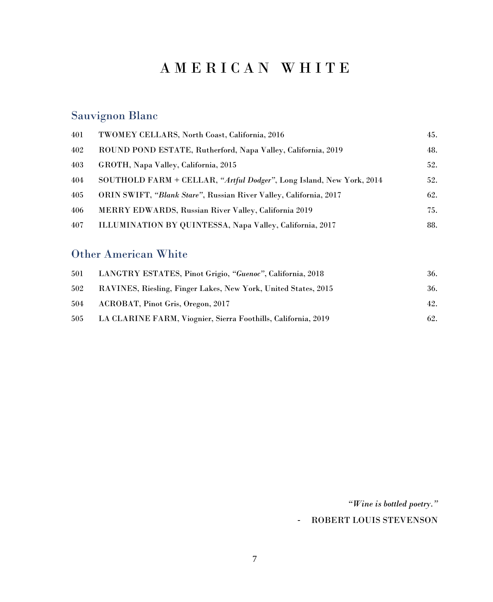## A M E R I C A N W H I T E

### Sauvignon Blanc

| 401 | TWOMEY CELLARS, North Coast, California, 2016                        | 45. |
|-----|----------------------------------------------------------------------|-----|
| 402 | ROUND POND ESTATE, Rutherford, Napa Valley, California, 2019         | 48. |
| 403 | GROTH, Napa Valley, California, 2015                                 | 52. |
| 404 | SOUTHOLD FARM + CELLAR, "Artful Dodger", Long Island, New York, 2014 | 52. |
| 405 | ORIN SWIFT, "Blank Stare", Russian River Valley, California, 2017    | 62. |
| 406 | <b>MERRY EDWARDS, Russian River Valley, California 2019</b>          | 75. |
| 407 | ILLUMINATION BY QUINTESSA, Napa Valley, California, 2017             | 88. |

#### Other American White

| 501 | LANGTRY ESTATES, Pinot Grigio, "Guenoc", California, 2018      | 36. |
|-----|----------------------------------------------------------------|-----|
| 502 | RAVINES, Riesling, Finger Lakes, New York, United States, 2015 | 36. |
| 504 | ACROBAT, Pinot Gris, Oregon, 2017                              | 42. |
| 505 | LA CLARINE FARM, Viognier, Sierra Foothills, California, 2019  | 62. |

*"Wine is bottled poetry."*

#### - ROBERT LOUIS STEVENSON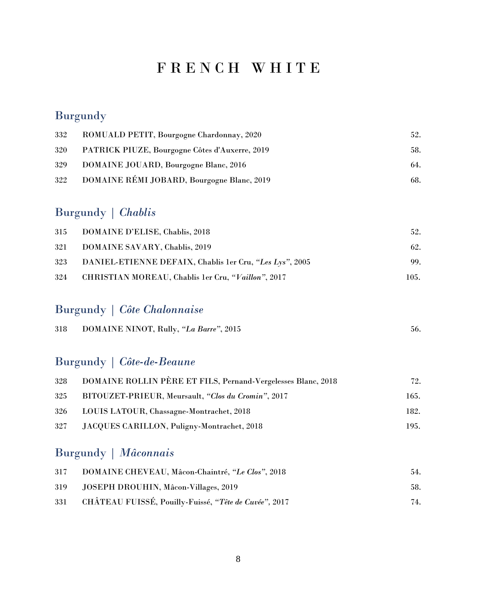## F R E N C H W H I T E

### **Burgundy**

| 332 | ROMUALD PETIT, Bourgogne Chardonnay, 2020      | 52. |
|-----|------------------------------------------------|-----|
| 320 | PATRICK PIUZE, Bourgogne Côtes d'Auxerre, 2019 | 58. |
| 329 | <b>DOMAINE JOUARD, Bourgogne Blanc, 2016</b>   | 64. |
| 322 | DOMAINE RÉMI JOBARD, Bourgogne Blanc, 2019     | 68. |

### Burgundy | *Chablis*

| 315 | DOMAINE D'ELISE, Chablis, 2018                          | 52.  |
|-----|---------------------------------------------------------|------|
| 321 | DOMAINE SAVARY, Chablis, 2019                           | 62.  |
| 323 | DANIEL-ETIENNE DEFAIX, Chablis 1er Cru, "Les Lys", 2005 | 99.  |
| 324 | CHRISTIAN MOREAU, Chablis 1er Cru, "Vaillon", 2017      | 105. |

### Burgundy | *Côte Chalonnaise*

| 318 | DOMAINE NINOT, Rully, "La Barre", 2015 |  |
|-----|----------------------------------------|--|
|-----|----------------------------------------|--|

#### Burgundy | *Côte-de-Beaune*

| 328 | DOMAINE ROLLIN PÈRE ET FILS, Pernand-Vergelesses Blanc, 2018 | 72.  |
|-----|--------------------------------------------------------------|------|
| 325 | BITOUZET-PRIEUR, Meursault, "Clos du Cromin", 2017           | 165. |
| 326 | LOUIS LATOUR, Chassagne-Montrachet, 2018                     | 182. |
| 327 | JACQUES CARILLON, Puligny-Montrachet, 2018                   | 195. |

### Burgundy | *Mâconnais*

| 317 | DOMAINE CHEVEAU, Mâcon-Chaintré, "Le Clos", 2018      | 54. |
|-----|-------------------------------------------------------|-----|
| 319 | JOSEPH DROUHIN, Mâcon-Villages, 2019                  | 58. |
| 331 | CHÂTEAU FUISSÉ, Pouilly-Fuissé, "Tête de Cuvée", 2017 | 74. |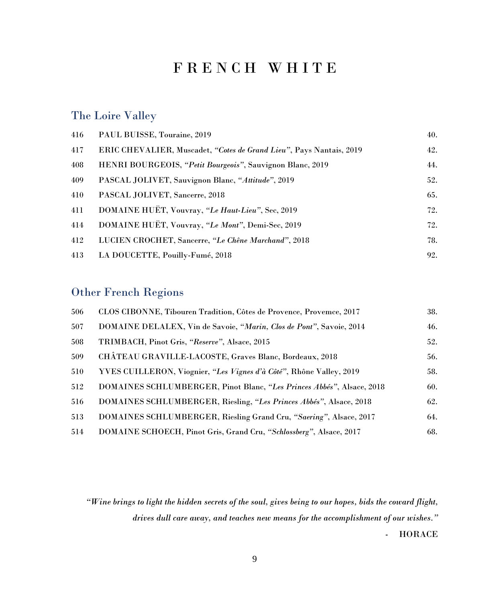### F R E N C H W H I T E

#### The Loire Valley

| 416 | PAUL BUISSE, Touraine, 2019                                         | 40. |
|-----|---------------------------------------------------------------------|-----|
| 417 | ERIC CHEVALIER, Muscadet, "Cotes de Grand Lieu", Pays Nantais, 2019 | 42. |
| 408 | HENRI BOURGEOIS, "Petit Bourgeois", Sauvignon Blanc, 2019           | 44. |
| 409 | PASCAL JOLIVET, Sauvignon Blanc, "Attitude", 2019                   | 52. |
| 410 | PASCAL JOLIVET, Sancerre, 2018                                      | 65. |
| 411 | DOMAINE HUËT, Vouvray, "Le Haut-Lieu", Sec, 2019                    | 72. |
| 414 | DOMAINE HUËT, Vouvray, "Le Mont", Demi-Sec, 2019                    | 72. |
| 412 | LUCIEN CROCHET, Sancerre, "Le Chêne Marchand", 2018                 | 78. |
| 413 | LA DOUCETTE, Pouilly-Fumé, 2018                                     | 92. |

#### Other French Regions

| 506 | CLOS CIBONNE, Tibouren Tradition, Côtes de Provence, Provemce, 2017   | 38. |
|-----|-----------------------------------------------------------------------|-----|
| 507 | DOMAINE DELALEX, Vin de Savoie, "Marin, Clos de Pont", Savoie, 2014   | 46. |
| 508 | TRIMBACH, Pinot Gris, "Reserve", Alsace, 2015                         | 52. |
| 509 | CHÂTEAU GRAVILLE-LACOSTE, Graves Blanc, Bordeaux, 2018                | 56. |
| 510 | YVES CUILLERON, Viognier, "Les Vignes d'à Côté", Rhône Valley, 2019   | 58. |
| 512 | DOMAINES SCHLUMBERGER, Pinot Blanc, "Les Princes Abbés", Alsace, 2018 | 60. |
| 516 | DOMAINES SCHLUMBERGER, Riesling, "Les Princes Abbés", Alsace, 2018    | 62. |
| 513 | DOMAINES SCHLUMBERGER, Riesling Grand Cru, "Saering", Alsace, 2017    | 64. |
| 514 | DOMAINE SCHOECH, Pinot Gris, Grand Cru, "Schlossberg", Alsace, 2017   | 68. |

*"Wine brings to light the hidden secrets of the soul, gives being to our hopes, bids the coward flight, drives dull care away, and teaches new means for the accomplishment of our wishes."* - HORACE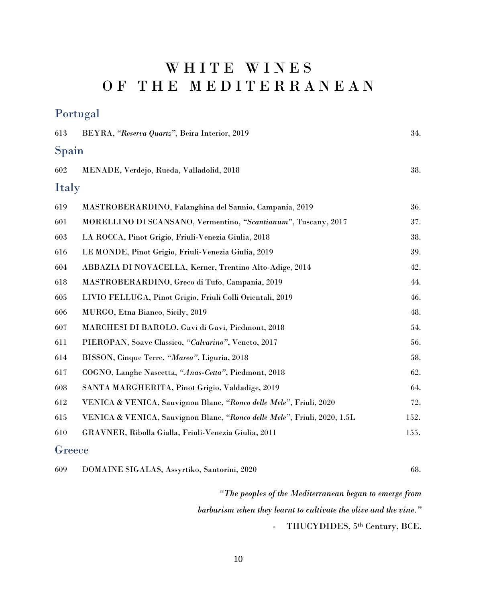# WHITE WINES O F T H E M E D I T E R R A N E A N

#### Portugal

| 613    | BEYRA, "Reserva Quartz", Beira Interior, 2019                            | 34.  |
|--------|--------------------------------------------------------------------------|------|
| Spain  |                                                                          |      |
| 602    | MENADE, Verdejo, Rueda, Valladolid, 2018                                 | 38.  |
| Italy  |                                                                          |      |
| 619    | MASTROBERARDINO, Falanghina del Sannio, Campania, 2019                   | 36.  |
| 601    | MORELLINO DI SCANSANO, Vermentino, "Scantianum", Tuscany, 2017           | 37.  |
| 603    | LA ROCCA, Pinot Grigio, Friuli-Venezia Giulia, 2018                      | 38.  |
| 616    | LE MONDE, Pinot Grigio, Friuli-Venezia Giulia, 2019                      | 39.  |
| 604    | ABBAZIA DI NOVACELLA, Kerner, Trentino Alto-Adige, 2014                  | 42.  |
| 618    | MASTROBERARDINO, Greco di Tufo, Campania, 2019                           | 44.  |
| 605    | LIVIO FELLUGA, Pinot Grigio, Friuli Colli Orientali, 2019                | 46.  |
| 606    | MURGO, Etna Bianco, Sicily, 2019                                         | 48.  |
| 607    | MARCHESI DI BAROLO, Gavi di Gavi, Piedmont, 2018                         | 54.  |
| 611    | PIEROPAN, Soave Classico, "Calvarino", Veneto, 2017                      | 56.  |
| 614    | BISSON, Cinque Terre, "Marea", Liguria, 2018                             | 58.  |
| 617    | COGNO, Langhe Nascetta, "Anas-Cetta", Piedmont, 2018                     | 62.  |
| 608    | SANTA MARGHERITA, Pinot Grigio, Valdadige, 2019                          | 64.  |
| 612    | VENICA & VENICA, Sauvignon Blanc, "Ronco delle Mele", Friuli, 2020       | 72.  |
| 615    | VENICA & VENICA, Sauvignon Blanc, "Ronco delle Mele", Friuli, 2020, 1.5L | 152. |
| 610    | GRAVNER, Ribolla Gialla, Friuli-Venezia Giulia, 2011                     | 155. |
| Greece |                                                                          |      |

| 609 | DOMAINE SIGALAS, Assyrtiko, Santorini, 2020 |  |
|-----|---------------------------------------------|--|
|-----|---------------------------------------------|--|

*"The peoples of the Mediterranean began to emerge from barbarism when they learnt to cultivate the olive and the vine."*  - THUCYDIDES, 5th Century, BCE.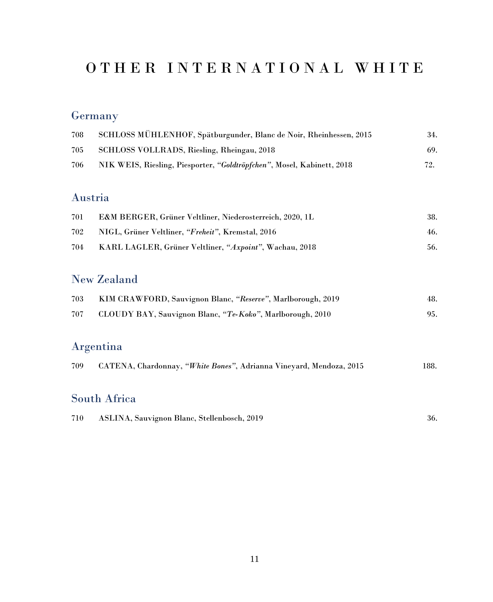## O T H E R I N T E R N A T I O N A L W H I T E

### **Germany**

| 708 | SCHLOSS MÜHLENHOF, Spätburgunder, Blanc de Noir, Rheinhessen, 2015     | 34. |
|-----|------------------------------------------------------------------------|-----|
| 705 | SCHLOSS VOLLRADS, Riesling, Rheingau, 2018                             | 69. |
| 706 | NIK WEIS, Riesling, Piesporter, "Goldtröpfchen", Mosel, Kabinett, 2018 | 79  |

#### Austria

| 701 | <b>E&amp;M BERGER, Grüner Veltliner, Niederosterreich, 2020, 1L</b> | 38. |
|-----|---------------------------------------------------------------------|-----|
| 702 | NIGL, Grüner Veltliner, "Freheit", Kremstal, 2016                   | 46. |
| 704 | KARL LAGLER, Grüner Veltliner, "Axpoint", Wachau, 2018              | 56. |

#### New Zealand

| 703 | KIM CRAWFORD, Sauvignon Blanc, "Reserve", Marlborough, 2019 | 48. |
|-----|-------------------------------------------------------------|-----|
| 707 | CLOUDY BAY, Sauvignon Blanc, "Te-Koko", Marlborough, 2010   |     |

### Argentina

|  | 709 CATENA, Chardonnay, "White Bones", Adrianna Vineyard, Mendoza, 2015 |  |  |  | 188. |
|--|-------------------------------------------------------------------------|--|--|--|------|
|--|-------------------------------------------------------------------------|--|--|--|------|

#### South Africa

| 710 | ASLINA, Sauvignon Blanc, Stellenbosch, 2019 | 36. |
|-----|---------------------------------------------|-----|
|-----|---------------------------------------------|-----|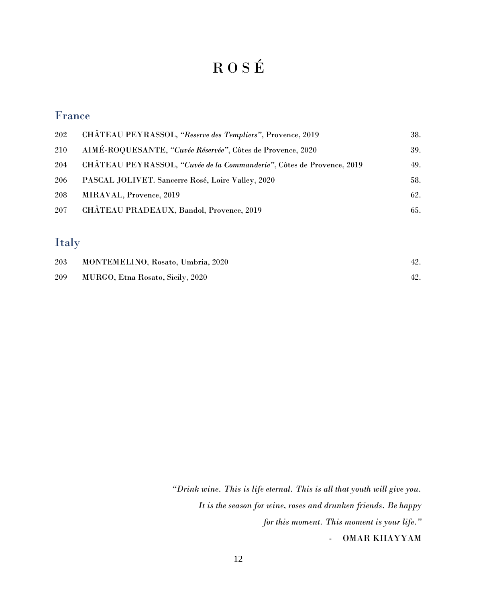# R O S É

#### France

| CHÂTEAU PEYRASSOL, "Reserve des Templiers", Provence, 2019            | 38. |
|-----------------------------------------------------------------------|-----|
| AIMÉ-ROQUESANTE, "Cuvée Réservée", Côtes de Provence, 2020            | 39. |
| CHÂTEAU PEYRASSOL, "Cuvée de la Commanderie", Côtes de Provence, 2019 | 49. |
| PASCAL JOLIVET. Sancerre Rosé, Loire Valley, 2020                     | 58. |
| MIRAVAL, Provence, 2019                                               | 62. |
| CHÂTEAU PRADEAUX, Bandol, Provence, 2019                              | 65. |
|                                                                       |     |

#### Italy

| 203 | MONTEMELINO, Rosato, Umbria, 2020 | 42. |
|-----|-----------------------------------|-----|
| 209 | MURGO, Etna Rosato, Sicily, 2020  |     |

*"Drink wine. This is life eternal. This is all that youth will give you. It is the season for wine, roses and drunken friends. Be happy for this moment. This moment is your life."* - OMAR KHAYYAM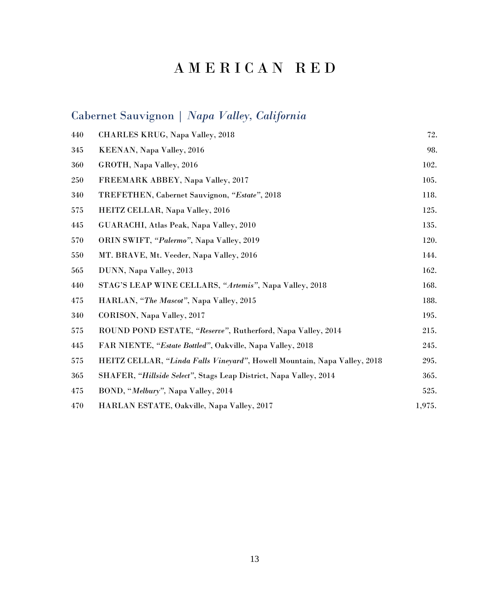## Cabernet Sauvignon | *Napa Valley, California*

| 440 | CHARLES KRUG, Napa Valley, 2018                                          | 72.    |
|-----|--------------------------------------------------------------------------|--------|
| 345 | KEENAN, Napa Valley, 2016                                                | 98.    |
| 360 | GROTH, Napa Valley, 2016                                                 | 102.   |
| 250 | FREEMARK ABBEY, Napa Valley, 2017                                        | 105.   |
| 340 | TREFETHEN, Cabernet Sauvignon, "Estate", 2018                            | 118.   |
| 575 | HEITZ CELLAR, Napa Valley, 2016                                          | 125.   |
| 445 | GUARACHI, Atlas Peak, Napa Valley, 2010                                  | 135.   |
| 570 | ORIN SWIFT, "Palermo", Napa Valley, 2019                                 | 120.   |
| 550 | MT. BRAVE, Mt. Veeder, Napa Valley, 2016                                 | 144.   |
| 565 | DUNN, Napa Valley, 2013                                                  | 162.   |
| 440 | STAG'S LEAP WINE CELLARS, "Artemis", Napa Valley, 2018                   | 168.   |
| 475 | HARLAN, "The Mascot", Napa Valley, 2015                                  | 188.   |
| 340 | CORISON, Napa Valley, 2017                                               | 195.   |
| 575 | ROUND POND ESTATE, "Reserve", Rutherford, Napa Valley, 2014              | 215.   |
| 445 | FAR NIENTE, "Estate Bottled", Oakville, Napa Valley, 2018                | 245.   |
| 575 | HEITZ CELLAR, "Linda Falls Vineyard", Howell Mountain, Napa Valley, 2018 | 295.   |
| 365 | SHAFER, "Hillside Select", Stags Leap District, Napa Valley, 2014        | 365.   |
| 475 | BOND, "Melbury", Napa Valley, 2014                                       | 525.   |
| 470 | HARLAN ESTATE, Oakville, Napa Valley, 2017                               | 1,975. |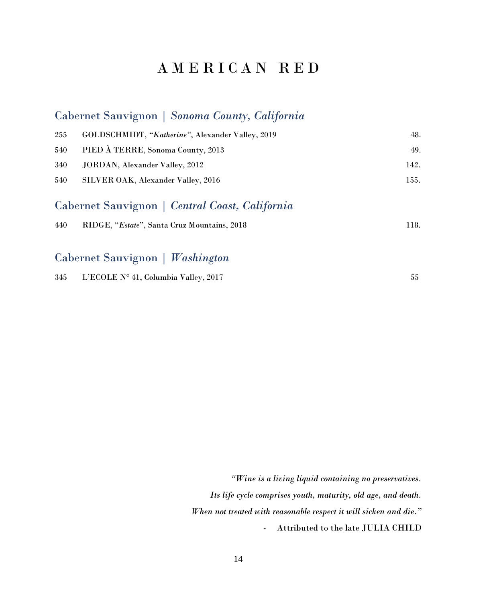#### Cabernet Sauvignon | *Sonoma County, California*

| 255 | GOLDSCHMIDT, "Katherine", Alexander Valley, 2019 | 48.  |
|-----|--------------------------------------------------|------|
| 540 | PIED À TERRE, Sonoma County, 2013                | 49.  |
| 340 | JORDAN, Alexander Valley, 2012                   | 142. |
| 540 | SILVER OAK, Alexander Valley, 2016               | 155. |
|     | Cabernet Sauvignon   Central Coast, California   |      |
| 440 | RIDGE, "Estate", Santa Cruz Mountains, 2018      | 118. |

#### Cabernet Sauvignon | *Washington*

| 345 | L'ECOLE N° 41, Columbia Valley, 2017 |  |
|-----|--------------------------------------|--|
|     |                                      |  |

*"Wine is a living liquid containing no preservatives. Its life cycle comprises youth, maturity, old age, and death. When not treated with reasonable respect it will sicken and die."* - Attributed to the late JULIA CHILD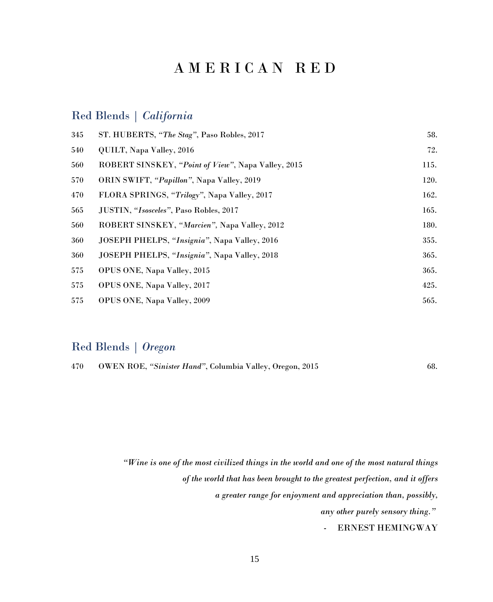#### Red Blends | *California*

| 345 | ST. HUBERTS, "The Stag", Paso Robles, 2017         | 58.  |
|-----|----------------------------------------------------|------|
| 540 | QUILT, Napa Valley, 2016                           | 72.  |
| 560 | ROBERT SINSKEY, "Point of View", Napa Valley, 2015 | 115. |
| 570 | ORIN SWIFT, "Papillon", Napa Valley, 2019          | 120. |
| 470 | FLORA SPRINGS, "Trilogy", Napa Valley, 2017        | 162. |
| 565 | JUSTIN, "Isosceles", Paso Robles, 2017             | 165. |
| 560 | ROBERT SINSKEY, "Marcien", Napa Valley, 2012       | 180. |
| 360 | JOSEPH PHELPS, "Insignia", Napa Valley, 2016       | 355. |
| 360 | JOSEPH PHELPS, "Insignia", Napa Valley, 2018       | 365. |
| 575 | OPUS ONE, Napa Valley, 2015                        | 365. |
| 575 | OPUS ONE, Napa Valley, 2017                        | 425. |
| 575 | OPUS ONE, Napa Valley, 2009                        | 565. |

#### Red Blends | *Oregon*

| 470 |  | OWEN ROE, "Sinister Hand", Columbia Valley, Oregon, 2015 |  |  |  |  | 68. |
|-----|--|----------------------------------------------------------|--|--|--|--|-----|
|-----|--|----------------------------------------------------------|--|--|--|--|-----|

*"Wine is one of the most civilized things in the world and one of the most natural things of the world that has been brought to the greatest perfection, and it offers a greater range for enjoyment and appreciation than, possibly, any other purely sensory thing."*

- ERNEST HEMINGWAY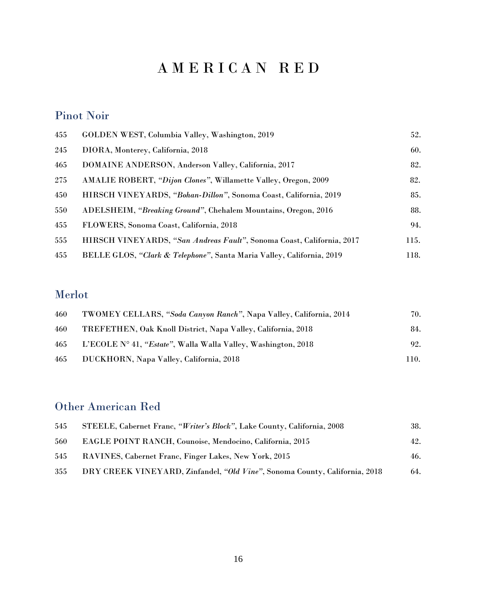#### Pinot Noir

| 455 | GOLDEN WEST, Columbia Valley, Washington, 2019                        | 52.  |
|-----|-----------------------------------------------------------------------|------|
| 245 | DIORA, Monterey, California, 2018                                     | 60.  |
| 465 | DOMAINE ANDERSON, Anderson Valley, California, 2017                   | 82.  |
| 275 | AMALIE ROBERT, "Dijon Clones", Willamette Valley, Oregon, 2009        | 82.  |
| 450 | HIRSCH VINEYARDS, "Bohan-Dillon", Sonoma Coast, California, 2019      | 85.  |
| 550 | ADELSHEIM, "Breaking Ground", Chehalem Mountains, Oregon, 2016        | 88.  |
| 455 | FLOWERS, Sonoma Coast, California, 2018                               | 94.  |
| 555 | HIRSCH VINEYARDS, "San Andreas Fault", Sonoma Coast, California, 2017 | 115. |
| 455 | BELLE GLOS, "Clark & Telephone", Santa Maria Valley, California, 2019 | 118. |

### Merlot

| 460 | TWOMEY CELLARS, "Soda Canyon Ranch", Napa Valley, California, 2014 | 70.  |
|-----|--------------------------------------------------------------------|------|
| 460 | TREFETHEN, Oak Knoll District, Napa Valley, California, 2018       | 84.  |
| 465 | L'ECOLE N° 41, "Estate", Walla Walla Valley, Washington, 2018      | 92.  |
| 465 | DUCKHORN, Napa Valley, California, 2018                            | 110. |

#### Other American Red

| 545 | STEELE, Cabernet Franc, "Writer's Block", Lake County, California, 2008    | 38. |
|-----|----------------------------------------------------------------------------|-----|
| 560 | <b>EAGLE POINT RANCH, Counoise, Mendocino, California, 2015</b>            | 42. |
| 545 | RAVINES, Cabernet Franc, Finger Lakes, New York, 2015                      | 46. |
| 355 | DRY CREEK VINEYARD, Zinfandel, "Old Vine", Sonoma County, California, 2018 | 64. |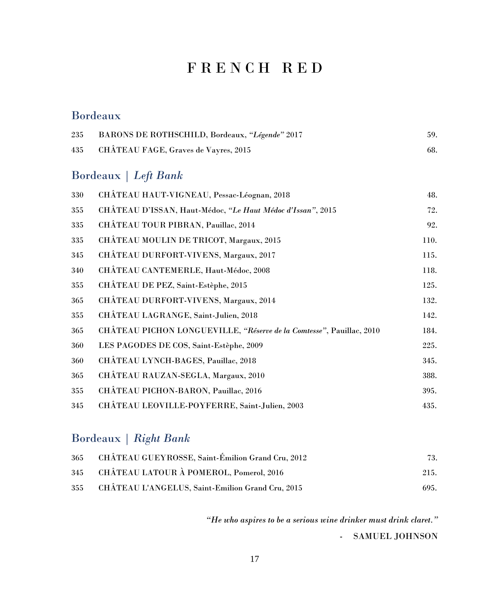### F R E N C H R E D

#### Bordeaux

| 235 | BARONS DE ROTHSCHILD, Bordeaux, "Légende" 2017                       | 59.  |
|-----|----------------------------------------------------------------------|------|
| 435 | CHÂTEAU FAGE, Graves de Vayres, 2015                                 | 68.  |
|     | Bordeaux   Left Bank                                                 |      |
| 330 | CHÂTEAU HAUT-VIGNEAU, Pessac-Léognan, 2018                           | 48.  |
| 355 | CHÂTEAU D'ISSAN, Haut-Médoc, "Le Haut Médoc d'Issan", 2015           | 72.  |
| 335 | CHÂTEAU TOUR PIBRAN, Pauillac, 2014                                  | 92.  |
| 335 | CHÂTEAU MOULIN DE TRICOT, Margaux, 2015                              | 110. |
| 345 | CHÂTEAU DURFORT-VIVENS, Margaux, 2017                                | 115. |
| 340 | CHÂTEAU CANTEMERLE, Haut-Médoc, 2008                                 | 118. |
| 355 | CHÂTEAU DE PEZ, Saint-Estèphe, 2015                                  | 125. |
| 365 | CHÂTEAU DURFORT-VIVENS, Margaux, 2014                                | 132. |
| 355 | CHÂTEAU LAGRANGE, Saint-Julien, 2018                                 | 142. |
| 365 | CHÂTEAU PICHON LONGUEVILLE, "Réserve de la Comtesse", Pauillac, 2010 | 184. |

 LES PAGODES DE COS, Saint-Estèphe, 2009 225. 360 CHÂTEAU LYNCH-BAGES, Pauillac, 2018 345.

 CHÂTEAU RAUZAN-SEGLA, Margaux, 2010 388. 355 CHÂTEAU PICHON-BARON, Pauillac, 2016 395. CHÂTEAU LEOVILLE-POYFERRE, Saint-Julien, 2003 435.

#### Bordeaux | *Right Bank*

| 365 | CHÂTEAU GUEYROSSE, Saint-Émilion Grand Cru, 2012 | 73.  |
|-----|--------------------------------------------------|------|
| 345 | CHÂTEAU LATOUR À POMEROL, Pomerol, 2016          | 215. |
| 355 | CHÂTEAU L'ANGELUS, Saint-Emilion Grand Cru, 2015 | 695. |

*"He who aspires to be a serious wine drinker must drink claret."* - SAMUEL JOHNSON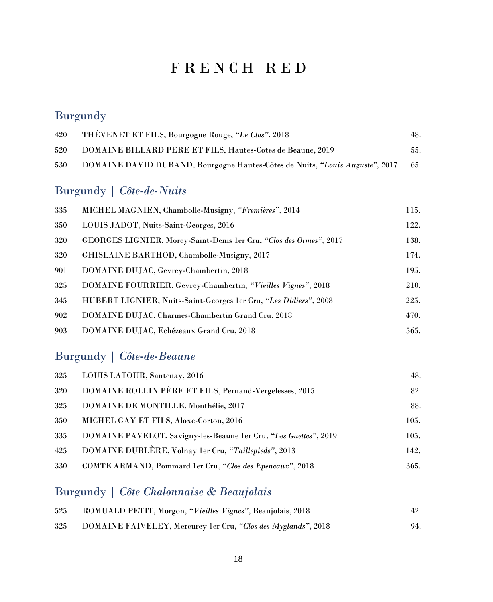### F R E N C H R E D

### **Burgundy**

| 420 | THÉVENET ET FILS, Bourgogne Rouge, "Le Clos", 2018                           | 48. |
|-----|------------------------------------------------------------------------------|-----|
| 520 | <b>DOMAINE BILLARD PERE ET FILS, Hautes-Cotes de Beaune, 2019</b>            | 55. |
| 530 | DOMAINE DAVID DUBAND, Bourgogne Hautes-Côtes de Nuits, "Louis Auguste", 2017 | 65. |

### Burgundy | *Côte-de-Nuits*

| 335 | MICHEL MAGNIEN, Chambolle-Musigny, "Fremières", 2014               | 115. |
|-----|--------------------------------------------------------------------|------|
| 350 | LOUIS JADOT, Nuits-Saint-Georges, 2016                             | 122. |
| 320 | GEORGES LIGNIER, Morey-Saint-Denis 1er Cru, "Clos des Ormes", 2017 | 138. |
| 320 | GHISLAINE BARTHOD, Chambolle-Musigny, 2017                         | 174. |
| 901 | DOMAINE DUJAC, Gevrey-Chambertin, 2018                             | 195. |
| 325 | DOMAINE FOURRIER, Gevrey-Chambertin, "Vieilles Vignes", 2018       | 210. |
| 345 | HUBERT LIGNIER, Nuits-Saint-Georges 1er Cru, "Les Didiers", 2008   | 225. |
| 902 | DOMAINE DUJAC, Charmes-Chambertin Grand Cru, 2018                  | 470. |
| 903 | DOMAINE DUJAC, Echézeaux Grand Cru, 2018                           | 565. |

### Burgundy | *Côte-de-Beaune*

| 325 | LOUIS LATOUR, Santenay, 2016                                     | 48.  |
|-----|------------------------------------------------------------------|------|
| 320 | DOMAINE ROLLIN PÈRE ET FILS, Pernand-Vergelesses, 2015           | 82.  |
| 325 | DOMAINE DE MONTILLE, Monthélie, 2017                             | 88.  |
| 350 | MICHEL GAY ET FILS, Aloxe-Corton, 2016                           | 105. |
| 335 | DOMAINE PAVELOT, Savigny-les-Beaune 1er Cru, "Les Guettes", 2019 | 105. |
| 425 | DOMAINE DUBLÈRE, Volnay 1er Cru, "Taillepieds", 2013             | 142. |
| 330 | COMTE ARMAND, Pommard 1er Cru, "Clos des Epeneaux", 2018         | 365. |

### Burgundy | *Côte Chalonnaise & Beaujolais*

| 525 | ROMUALD PETIT, Morgon, "Vieilles Vignes", Beaujolais, 2018    | 42. |
|-----|---------------------------------------------------------------|-----|
| 325 | DOMAINE FAIVELEY, Mercurey 1er Cru, "Clos des Myglands", 2018 | 94. |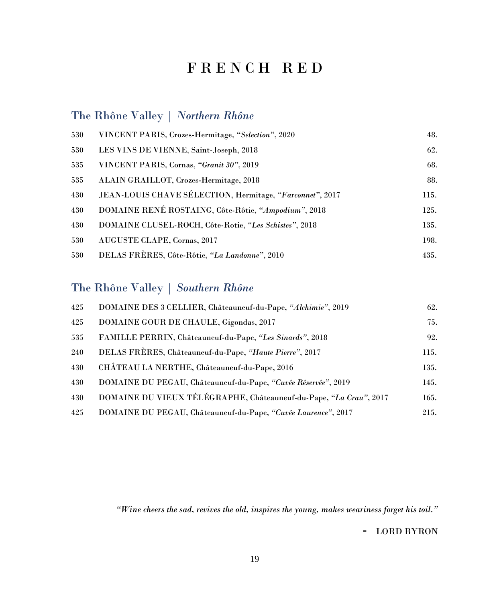## F R E N C H R E D

#### The Rhône Valley | *Northern Rhône*

| 530 | VINCENT PARIS, Crozes-Hermitage, "Selection", 2020       | 48.  |
|-----|----------------------------------------------------------|------|
| 530 | LES VINS DE VIENNE, Saint-Joseph, 2018                   | 62.  |
| 535 | VINCENT PARIS, Cornas, "Granit 30", 2019                 | 68.  |
| 535 | ALAIN GRAILLOT, Crozes-Hermitage, 2018                   | 88.  |
| 430 | JEAN-LOUIS CHAVE SÉLECTION, Hermitage, "Farconnet", 2017 | 115. |
| 430 | DOMAINE RENÉ ROSTAING, Côte-Rôtie, "Ampodium", 2018      | 125. |
| 430 | DOMAINE CLUSEL-ROCH, Côte-Rotie, "Les Schistes", 2018    | 135. |
| 530 | AUGUSTE CLAPE, Cornas, 2017                              | 198. |
| 530 | DELAS FRÈRES, Côte-Rôtie, "La Landonne", 2010            | 435. |

#### The Rhône Valley | *Southern Rhône*

| 425 | DOMAINE DES 3 CELLIER, Châteauneuf-du-Pape, "Alchimie", 2019      | 62.  |
|-----|-------------------------------------------------------------------|------|
| 425 | DOMAINE GOUR DE CHAULE, Gigondas, 2017                            | 75.  |
| 535 | FAMILLE PERRIN, Châteauneuf-du-Pape, "Les Sinards", 2018          | 92.  |
| 240 | DELAS FRÈRES, Châteauneuf-du-Pape, "Haute Pierre", 2017           | 115. |
| 430 | CHÂTEAU LA NERTHE, Châteauneuf-du-Pape, 2016                      | 135. |
| 430 | DOMAINE DU PEGAU, Châteauneuf-du-Pape, "Cuvée Réservée", 2019     | 145. |
| 430 | DOMAINE DU VIEUX TÉLÉGRAPHE, Châteauneuf-du-Pape, "La Crau", 2017 | 165. |
| 425 | DOMAINE DU PEGAU, Châteauneuf-du-Pape, "Cuvée Laurence", 2017     | 215. |

*"Wine cheers the sad, revives the old, inspires the young, makes weariness forget his toil."*

- LORD BYRON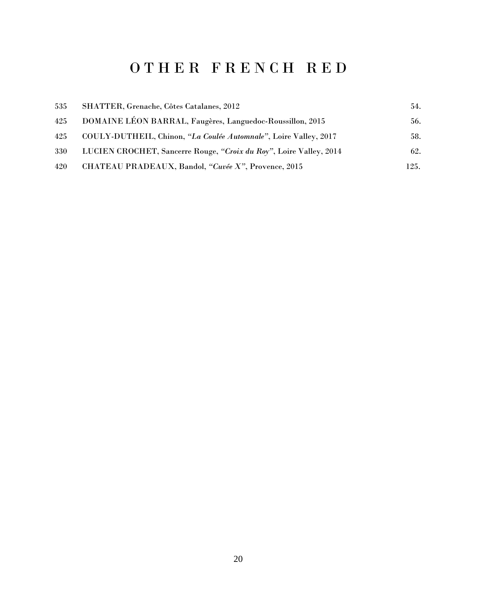# O T H E R F R E N C H R E D

| 535 | SHATTER, Grenache, Côtes Catalanes, 2012                           | 54.  |
|-----|--------------------------------------------------------------------|------|
| 425 | DOMAINE LÉON BARRAL, Faugères, Languedoc-Roussillon, 2015          | 56.  |
| 425 | COULY-DUTHEIL, Chinon, "La Coulée Automnale", Loire Valley, 2017   | 58.  |
| 330 | LUCIEN CROCHET, Sancerre Rouge, "Croix du Roy", Loire Valley, 2014 | 62.  |
| 420 | CHATEAU PRADEAUX, Bandol, "Cuvée X", Provence, 2015                | 125. |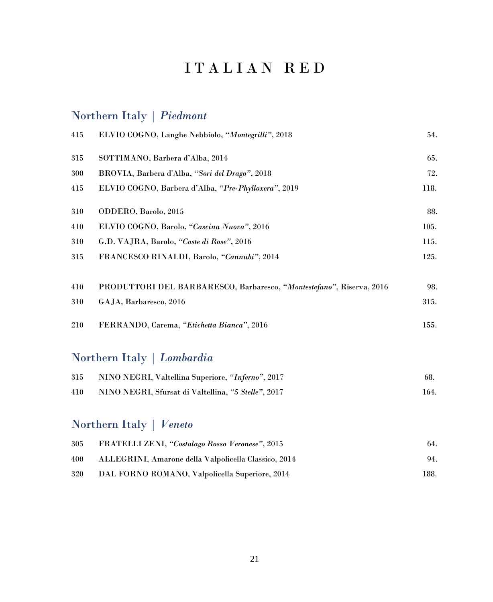# I T A L I A N R E D

### Northern Italy | *Piedmont*

| 415 | ELVIO COGNO, Langhe Nebbiolo, "Montegrilli", 2018                    | 54.  |
|-----|----------------------------------------------------------------------|------|
| 315 | SOTTIMANO, Barbera d'Alba, 2014                                      | 65.  |
| 300 | BROVIA, Barbera d'Alba, "Sori del Drago", 2018                       | 72.  |
| 415 | ELVIO COGNO, Barbera d'Alba, "Pre-Phylloxera", 2019                  | 118. |
| 310 | ODDERO, Barolo, 2015                                                 | 88.  |
| 410 | ELVIO COGNO, Barolo, "Cascina Nuova", 2016                           | 105. |
| 310 | G.D. VAJRA, Barolo, "Coste di Rose", 2016                            | 115. |
| 315 | FRANCESCO RINALDI, Barolo, "Cannubi", 2014                           | 125. |
| 410 | PRODUTTORI DEL BARBARESCO, Barbaresco, "Montestefano", Riserva, 2016 | 98.  |
| 310 | GAJA, Barbaresco, 2016                                               | 315. |
| 210 | FERRANDO, Carema, "Etichetta Bianca", 2016                           | 155. |
|     |                                                                      |      |

### Northern Italy | *Lombardia*

| 315 | NINO NEGRI, Valtellina Superiore, "Inferno", 2017   | 68.  |
|-----|-----------------------------------------------------|------|
| 410 | NINO NEGRI, Sfursat di Valtellina, "5 Stelle", 2017 | 164. |

### Northern Italy | *Veneto*

| 305 | FRATELLI ZENI, "Costalago Rosso Veronese", 2015      | 64.  |
|-----|------------------------------------------------------|------|
| 400 | ALLEGRINI, Amarone della Valpolicella Classico, 2014 | 94.  |
| 320 | DAL FORNO ROMANO, Valpolicella Superiore, 2014       | 188. |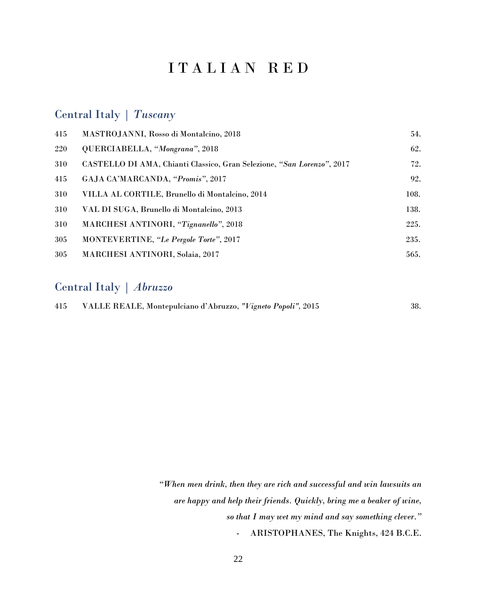### I T A L I A N R E D

#### Central Italy | *Tuscany*

| 415 | MASTROJANNI, Rosso di Montalcino, 2018                                 | 54.  |
|-----|------------------------------------------------------------------------|------|
| 220 | QUERCIABELLA, "Mongrana", 2018                                         | 62.  |
| 310 | CASTELLO DI AMA, Chianti Classico, Gran Selezione, "San Lorenzo", 2017 | 72.  |
| 415 | GAJA CA'MARCANDA, "Promis", 2017                                       | 92.  |
| 310 | VILLA AL CORTILE, Brunello di Montalcino, 2014                         | 108. |
| 310 | VAL DI SUGA, Brunello di Montalcino, 2013                              | 138. |
| 310 | MARCHESI ANTINORI, "Tignanello", 2018                                  | 225. |
| 305 | MONTEVERTINE, "Le Pergole Torte", 2017                                 | 235. |
| 305 | <b>MARCHESI ANTINORI, Solaia, 2017</b>                                 | 565. |
|     |                                                                        |      |

#### Central Italy | *Abruzzo*

| 415 | VALLE REALE, Montepulciano d'Abruzzo, "Vigneto Popoli", 2015 | 38. |
|-----|--------------------------------------------------------------|-----|
|-----|--------------------------------------------------------------|-----|

*"When men drink, then they are rich and successful and win lawsuits an are happy and help their friends. Quickly, bring me a beaker of wine, so that I may wet my mind and say something clever."* - ARISTOPHANES, The Knights, 424 B.C.E.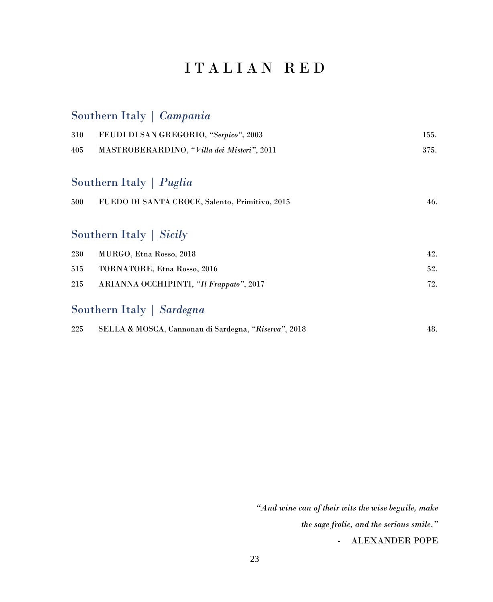## I T A L I A N R E D

### Southern Italy | *Campania*

| 310 | FEUDI DI SAN GREGORIO, "Serpico", 2003               | 155. |
|-----|------------------------------------------------------|------|
| 405 | MASTROBERARDINO, "Villa dei Misteri", 2011           | 375. |
|     |                                                      |      |
|     | Southern Italy   Puglia                              |      |
| 500 | FUEDO DI SANTA CROCE, Salento, Primitivo, 2015       | 46.  |
|     |                                                      |      |
|     | Southern Italy   Sicily                              |      |
| 230 | MURGO, Etna Rosso, 2018                              | 42.  |
| 515 | TORNATORE, Etna Rosso, 2016                          | 52.  |
| 215 | ARIANNA OCCHIPINTI, "Il Frappato", 2017              | 72.  |
|     | Southern Italy   Sardegna                            |      |
| 225 | SELLA & MOSCA, Cannonau di Sardegna, "Riserva", 2018 | 48.  |

*"And wine can of their wits the wise beguile, make the sage frolic, and the serious smile."*

- ALEXANDER POPE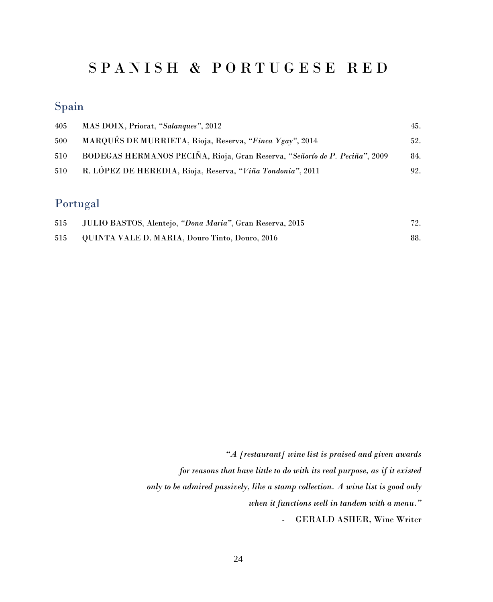## S P A N I S H & P O R T U G E S E R E D

## Spain

| 405 | MAS DOIX, Priorat, "Salangues", 2012                                       | 45. |
|-----|----------------------------------------------------------------------------|-----|
| 500 | MARQUÉS DE MURRIETA, Rioja, Reserva, "Finca Ygay", 2014                    | 52. |
| 510 | BODEGAS HERMANOS PECIÑA, Rioja, Gran Reserva, "Señorío de P. Peciña", 2009 | 84. |
| 510 | R. LÓPEZ DE HEREDIA, Rioja, Reserva, "Viña Tondonia", 2011                 | 92. |

## Portugal

| 515 | JULIO BASTOS, Alentejo, "Dona Maria", Gran Reserva, 2015 | 72. |
|-----|----------------------------------------------------------|-----|
| 515 | QUINTA VALE D. MARIA, Douro Tinto, Douro, 2016           |     |

| "A [restaurant] wine list is praised and given awards                           |
|---------------------------------------------------------------------------------|
| for reasons that have little to do with its real purpose, as if it existed      |
| only to be admired passively, like a stamp collection. A wine list is good only |
| when it functions well in tandem with a menu."                                  |
| - GERALD ASHER, Wine Writer                                                     |